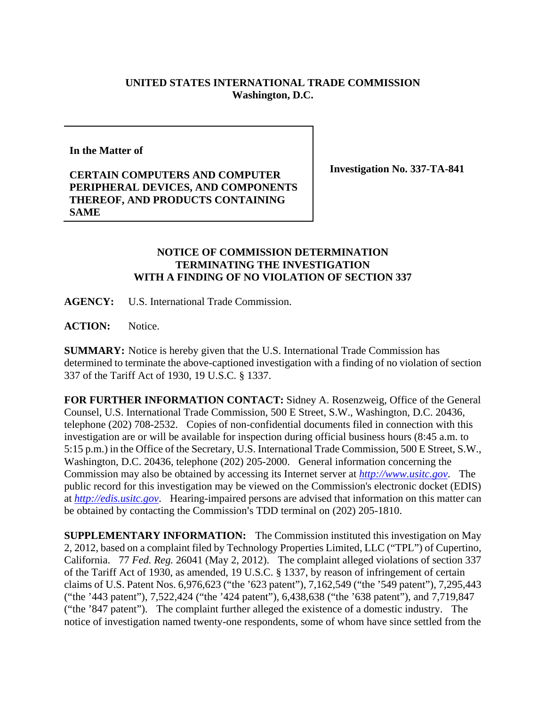## **UNITED STATES INTERNATIONAL TRADE COMMISSION Washington, D.C.**

**In the Matter of** 

## **CERTAIN COMPUTERS AND COMPUTER PERIPHERAL DEVICES, AND COMPONENTS THEREOF, AND PRODUCTS CONTAINING SAME**

**Investigation No. 337-TA-841** 

## **NOTICE OF COMMISSION DETERMINATION TERMINATING THE INVESTIGATION WITH A FINDING OF NO VIOLATION OF SECTION 337**

**AGENCY:** U.S. International Trade Commission.

**ACTION:** Notice.

**SUMMARY:** Notice is hereby given that the U.S. International Trade Commission has determined to terminate the above-captioned investigation with a finding of no violation of section 337 of the Tariff Act of 1930, 19 U.S.C. § 1337.

**FOR FURTHER INFORMATION CONTACT:** Sidney A. Rosenzweig, Office of the General Counsel, U.S. International Trade Commission, 500 E Street, S.W., Washington, D.C. 20436, telephone (202) 708-2532. Copies of non-confidential documents filed in connection with this investigation are or will be available for inspection during official business hours (8:45 a.m. to 5:15 p.m.) in the Office of the Secretary, U.S. International Trade Commission, 500 E Street, S.W., Washington, D.C. 20436, telephone (202) 205-2000. General information concerning the Commission may also be obtained by accessing its Internet server at *http://www.usitc.gov*. The public record for this investigation may be viewed on the Commission's electronic docket (EDIS) at *http://edis.usitc.gov*. Hearing-impaired persons are advised that information on this matter can be obtained by contacting the Commission's TDD terminal on (202) 205-1810.

**SUPPLEMENTARY INFORMATION:** The Commission instituted this investigation on May 2, 2012, based on a complaint filed by Technology Properties Limited, LLC ("TPL") of Cupertino, California. 77 *Fed. Reg.* 26041 (May 2, 2012). The complaint alleged violations of section 337 of the Tariff Act of 1930, as amended, 19 U.S.C. § 1337, by reason of infringement of certain claims of U.S. Patent Nos. 6,976,623 ("the '623 patent"), 7,162,549 ("the '549 patent"), 7,295,443 ("the '443 patent"), 7,522,424 ("the '424 patent"), 6,438,638 ("the '638 patent"), and 7,719,847 ("the '847 patent"). The complaint further alleged the existence of a domestic industry. The notice of investigation named twenty-one respondents, some of whom have since settled from the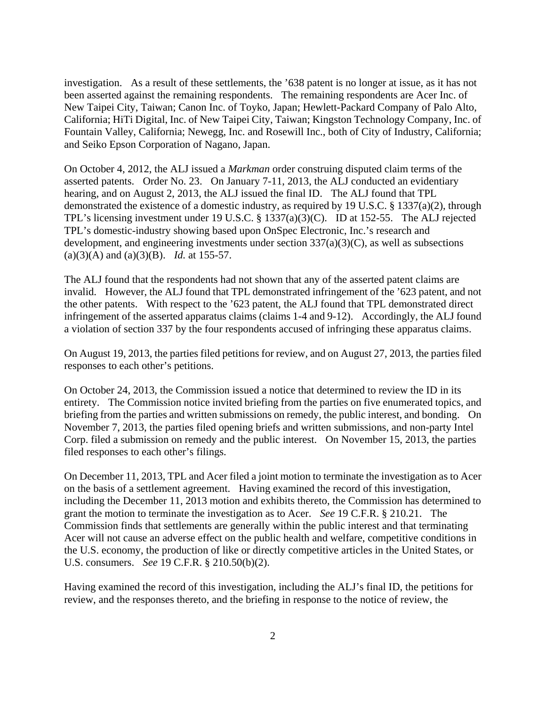investigation. As a result of these settlements, the '638 patent is no longer at issue, as it has not been asserted against the remaining respondents. The remaining respondents are Acer Inc. of New Taipei City, Taiwan; Canon Inc. of Toyko, Japan; Hewlett-Packard Company of Palo Alto, California; HiTi Digital, Inc. of New Taipei City, Taiwan; Kingston Technology Company, Inc. of Fountain Valley, California; Newegg, Inc. and Rosewill Inc., both of City of Industry, California; and Seiko Epson Corporation of Nagano, Japan.

On October 4, 2012, the ALJ issued a *Markman* order construing disputed claim terms of the asserted patents. Order No. 23. On January 7-11, 2013, the ALJ conducted an evidentiary hearing, and on August 2, 2013, the ALJ issued the final ID. The ALJ found that TPL demonstrated the existence of a domestic industry, as required by 19 U.S.C. § 1337(a)(2), through TPL's licensing investment under 19 U.S.C. § 1337(a)(3)(C). ID at 152-55. The ALJ rejected TPL's domestic-industry showing based upon OnSpec Electronic, Inc.'s research and development, and engineering investments under section  $337(a)(3)(C)$ , as well as subsections (a)(3)(A) and (a)(3)(B). *Id.* at 155-57.

The ALJ found that the respondents had not shown that any of the asserted patent claims are invalid. However, the ALJ found that TPL demonstrated infringement of the '623 patent, and not the other patents. With respect to the '623 patent, the ALJ found that TPL demonstrated direct infringement of the asserted apparatus claims (claims 1-4 and 9-12). Accordingly, the ALJ found a violation of section 337 by the four respondents accused of infringing these apparatus claims.

On August 19, 2013, the parties filed petitions for review, and on August 27, 2013, the parties filed responses to each other's petitions.

On October 24, 2013, the Commission issued a notice that determined to review the ID in its entirety. The Commission notice invited briefing from the parties on five enumerated topics, and briefing from the parties and written submissions on remedy, the public interest, and bonding. On November 7, 2013, the parties filed opening briefs and written submissions, and non-party Intel Corp. filed a submission on remedy and the public interest. On November 15, 2013, the parties filed responses to each other's filings.

On December 11, 2013, TPL and Acer filed a joint motion to terminate the investigation as to Acer on the basis of a settlement agreement. Having examined the record of this investigation, including the December 11, 2013 motion and exhibits thereto, the Commission has determined to grant the motion to terminate the investigation as to Acer. *See* 19 C.F.R. § 210.21. The Commission finds that settlements are generally within the public interest and that terminating Acer will not cause an adverse effect on the public health and welfare, competitive conditions in the U.S. economy, the production of like or directly competitive articles in the United States, or U.S. consumers. *See* 19 C.F.R. § 210.50(b)(2).

Having examined the record of this investigation, including the ALJ's final ID, the petitions for review, and the responses thereto, and the briefing in response to the notice of review, the